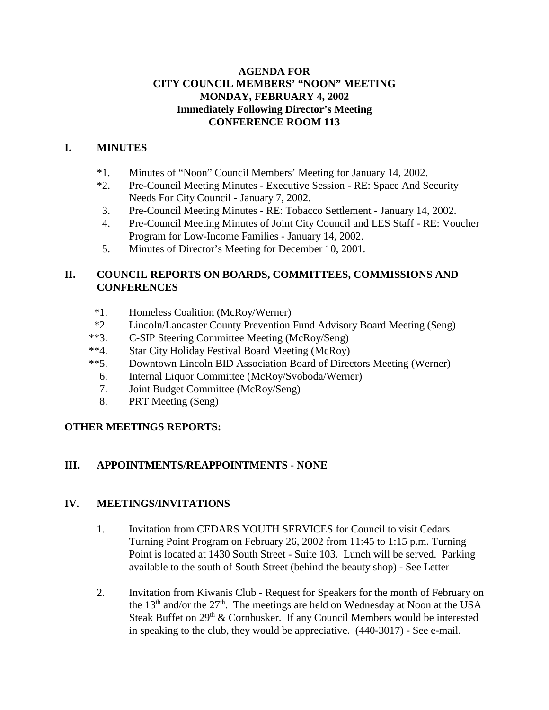#### **AGENDA FOR CITY COUNCIL MEMBERS' "NOON" MEETING MONDAY, FEBRUARY 4, 2002 Immediately Following Director's Meeting CONFERENCE ROOM 113**

## **I. MINUTES**

- \*1. Minutes of "Noon" Council Members' Meeting for January 14, 2002.
- \*2. Pre-Council Meeting Minutes Executive Session RE: Space And Security Needs For City Council - January 7, 2002.
- 3. Pre-Council Meeting Minutes RE: Tobacco Settlement January 14, 2002.
- 4. Pre-Council Meeting Minutes of Joint City Council and LES Staff RE: Voucher Program for Low-Income Families - January 14, 2002.
- 5. Minutes of Director's Meeting for December 10, 2001.

## **II. COUNCIL REPORTS ON BOARDS, COMMITTEES, COMMISSIONS AND CONFERENCES**

- \*1. Homeless Coalition (McRoy/Werner)
- \*2. Lincoln/Lancaster County Prevention Fund Advisory Board Meeting (Seng)
- \*\*3. C-SIP Steering Committee Meeting (McRoy/Seng)
- \*\*4. Star City Holiday Festival Board Meeting (McRoy)
- \*\*5. Downtown Lincoln BID Association Board of Directors Meeting (Werner)
- 6. Internal Liquor Committee (McRoy/Svoboda/Werner)
- 7. Joint Budget Committee (McRoy/Seng)
- 8. PRT Meeting (Seng)

## **OTHER MEETINGS REPORTS:**

## **III. APPOINTMENTS/REAPPOINTMENTS** - **NONE**

#### **IV. MEETINGS/INVITATIONS**

- 1. Invitation from CEDARS YOUTH SERVICES for Council to visit Cedars Turning Point Program on February 26, 2002 from 11:45 to 1:15 p.m. Turning Point is located at 1430 South Street - Suite 103. Lunch will be served. Parking available to the south of South Street (behind the beauty shop) - See Letter
- 2. Invitation from Kiwanis Club Request for Speakers for the month of February on the 13<sup>th</sup> and/or the  $27<sup>th</sup>$ . The meetings are held on Wednesday at Noon at the USA Steak Buffet on  $29<sup>th</sup>$  & Cornhusker. If any Council Members would be interested in speaking to the club, they would be appreciative. (440-3017) - See e-mail.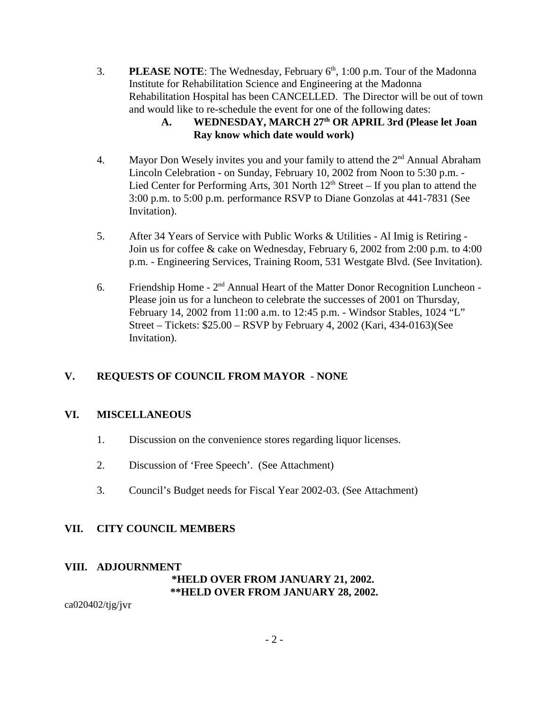3. **PLEASE NOTE:** The Wednesday, February  $6<sup>th</sup>$ , 1:00 p.m. Tour of the Madonna Institute for Rehabilitation Science and Engineering at the Madonna Rehabilitation Hospital has been CANCELLED. The Director will be out of town and would like to re-schedule the event for one of the following dates:

## **A. WEDNESDAY, MARCH 27th OR APRIL 3rd (Please let Joan Ray know which date would work)**

- 4. Mayor Don Wesely invites you and your family to attend the  $2<sup>nd</sup>$  Annual Abraham Lincoln Celebration - on Sunday, February 10, 2002 from Noon to 5:30 p.m. - Lied Center for Performing Arts, 301 North  $12<sup>th</sup>$  Street – If you plan to attend the 3:00 p.m. to 5:00 p.m. performance RSVP to Diane Gonzolas at 441-7831 (See Invitation).
- 5. After 34 Years of Service with Public Works & Utilities Al Imig is Retiring Join us for coffee & cake on Wednesday, February 6, 2002 from 2:00 p.m. to 4:00 p.m. - Engineering Services, Training Room, 531 Westgate Blvd. (See Invitation).
- 6. Friendship Home  $2<sup>nd</sup>$  Annual Heart of the Matter Donor Recognition Luncheon -Please join us for a luncheon to celebrate the successes of 2001 on Thursday, February 14, 2002 from 11:00 a.m. to 12:45 p.m. - Windsor Stables, 1024 "L" Street – Tickets: \$25.00 – RSVP by February 4, 2002 (Kari, 434-0163)(See Invitation).

## **V. REQUESTS OF COUNCIL FROM MAYOR** - **NONE**

#### **VI. MISCELLANEOUS**

- 1. Discussion on the convenience stores regarding liquor licenses.
- 2. Discussion of 'Free Speech'. (See Attachment)
- 3. Council's Budget needs for Fiscal Year 2002-03. (See Attachment)

#### **VII. CITY COUNCIL MEMBERS**

#### **VIII. ADJOURNMENT**

## **\*HELD OVER FROM JANUARY 21, 2002. \*\*HELD OVER FROM JANUARY 28, 2002.**

ca020402/tjg/jvr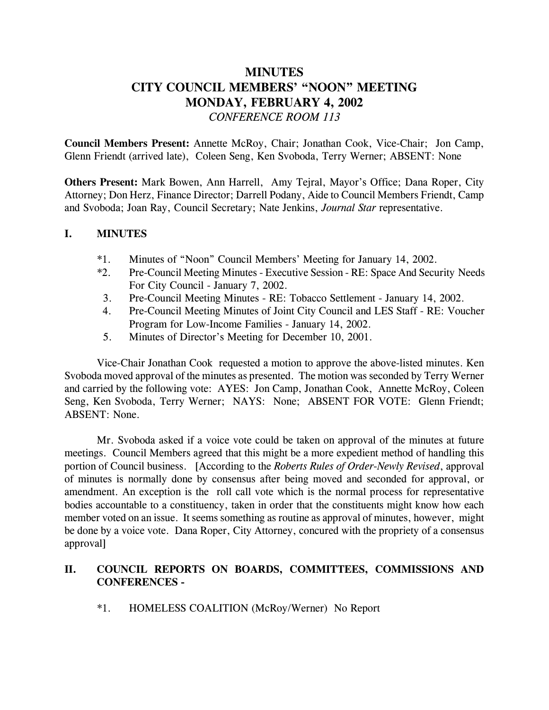# **MINUTES CITY COUNCIL MEMBERS' "NOON" MEETING MONDAY, FEBRUARY 4, 2002** *CONFERENCE ROOM 113*

**Council Members Present:** Annette McRoy, Chair; Jonathan Cook, Vice-Chair; Jon Camp, Glenn Friendt (arrived late), Coleen Seng, Ken Svoboda, Terry Werner; ABSENT: None

**Others Present:** Mark Bowen, Ann Harrell, Amy Tejral, Mayor's Office; Dana Roper, City Attorney; Don Herz, Finance Director; Darrell Podany, Aide to Council Members Friendt, Camp and Svoboda; Joan Ray, Council Secretary; Nate Jenkins, *Journal Star* representative.

#### **I. MINUTES**

- \*1. Minutes of "Noon" Council Members' Meeting for January 14, 2002.
- \*2. Pre-Council Meeting Minutes Executive Session RE: Space And Security Needs For City Council - January 7, 2002.
- 3. Pre-Council Meeting Minutes RE: Tobacco Settlement January 14, 2002.
- 4. Pre-Council Meeting Minutes of Joint City Council and LES Staff RE: Voucher Program for Low-Income Families - January 14, 2002.
- 5. Minutes of Director's Meeting for December 10, 2001.

Vice-Chair Jonathan Cook requested a motion to approve the above-listed minutes. Ken Svoboda moved approval of the minutes as presented. The motion was seconded by Terry Werner and carried by the following vote: AYES: Jon Camp, Jonathan Cook, Annette McRoy, Coleen Seng, Ken Svoboda, Terry Werner; NAYS: None; ABSENT FOR VOTE: Glenn Friendt; ABSENT: None.

Mr. Svoboda asked if a voice vote could be taken on approval of the minutes at future meetings. Council Members agreed that this might be a more expedient method of handling this portion of Council business. [According to the *Roberts Rules of Order-Newly Revised*, approval of minutes is normally done by consensus after being moved and seconded for approval, or amendment. An exception is the roll call vote which is the normal process for representative bodies accountable to a constituency, taken in order that the constituents might know how each member voted on an issue. It seems something as routine as approval of minutes, however, might be done by a voice vote. Dana Roper, City Attorney, concured with the propriety of a consensus approval]

## **II. COUNCIL REPORTS ON BOARDS, COMMITTEES, COMMISSIONS AND CONFERENCES -**

\*1. HOMELESS COALITION (McRoy/Werner) No Report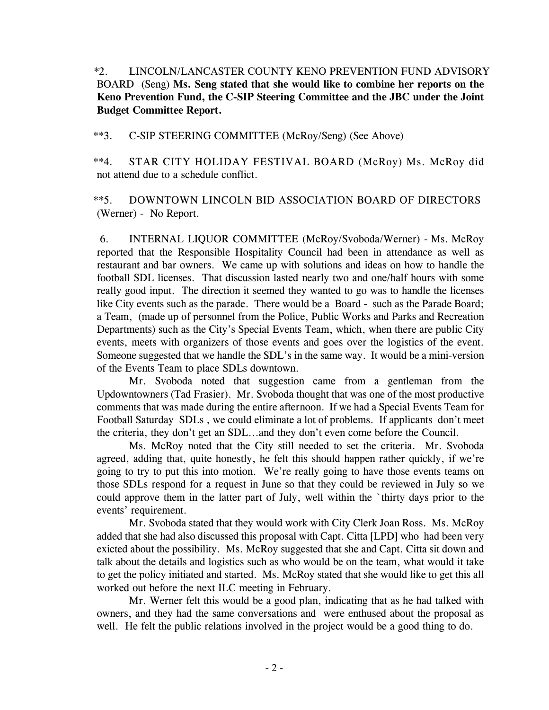\*2. LINCOLN/LANCASTER COUNTY KENO PREVENTION FUND ADVISORY BOARD (Seng) **Ms. Seng stated that she would like to combine her reports on the Keno Prevention Fund, the C-SIP Steering Committee and the JBC under the Joint Budget Committee Report.**

\*\*3. C-SIP STEERING COMMITTEE (McRoy/Seng) (See Above)

 \*\*4. STAR CITY HOLIDAY FESTIVAL BOARD (McRoy) Ms. McRoy did not attend due to a schedule conflict.

 \*\*5. DOWNTOWN LINCOLN BID ASSOCIATION BOARD OF DIRECTORS (Werner) - No Report.

 6. INTERNAL LIQUOR COMMITTEE (McRoy/Svoboda/Werner) - Ms. McRoy reported that the Responsible Hospitality Council had been in attendance as well as restaurant and bar owners. We came up with solutions and ideas on how to handle the football SDL licenses. That discussion lasted nearly two and one/half hours with some really good input. The direction it seemed they wanted to go was to handle the licenses like City events such as the parade. There would be a Board - such as the Parade Board; a Team, (made up of personnel from the Police, Public Works and Parks and Recreation Departments) such as the City's Special Events Team, which, when there are public City events, meets with organizers of those events and goes over the logistics of the event. Someone suggested that we handle the SDL's in the same way. It would be a mini-version of the Events Team to place SDLs downtown.

Mr. Svoboda noted that suggestion came from a gentleman from the Updowntowners (Tad Frasier). Mr. Svoboda thought that was one of the most productive comments that was made during the entire afternoon. If we had a Special Events Team for Football Saturday SDLs , we could eliminate a lot of problems. If applicants don't meet the criteria, they don't get an SDL...and they don't even come before the Council.

Ms. McRoy noted that the City still needed to set the criteria. Mr. Svoboda agreed, adding that, quite honestly, he felt this should happen rather quickly, if we're going to try to put this into motion. We're really going to have those events teams on those SDLs respond for a request in June so that they could be reviewed in July so we could approve them in the latter part of July, well within the `thirty days prior to the events' requirement.

Mr. Svoboda stated that they would work with City Clerk Joan Ross. Ms. McRoy added that she had also discussed this proposal with Capt. Citta [LPD] who had been very exicted about the possibility. Ms. McRoy suggested that she and Capt. Citta sit down and talk about the details and logistics such as who would be on the team, what would it take to get the policy initiated and started. Ms. McRoy stated that she would like to get this all worked out before the next ILC meeting in February.

Mr. Werner felt this would be a good plan, indicating that as he had talked with owners, and they had the same conversations and were enthused about the proposal as well. He felt the public relations involved in the project would be a good thing to do.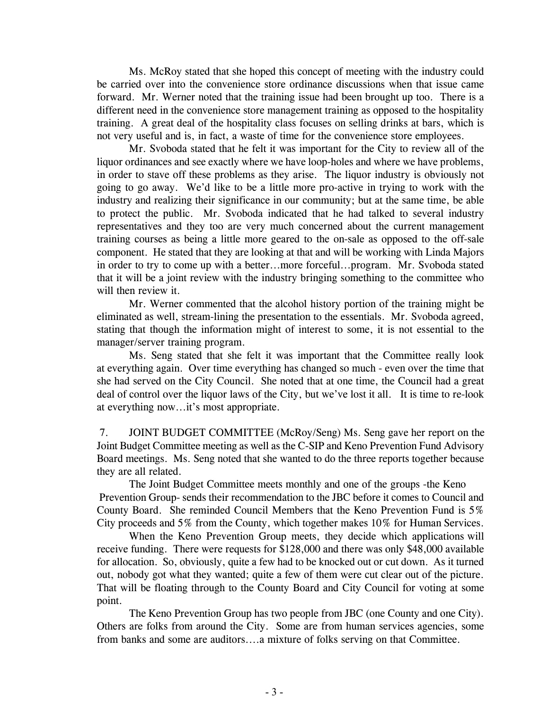Ms. McRoy stated that she hoped this concept of meeting with the industry could be carried over into the convenience store ordinance discussions when that issue came forward. Mr. Werner noted that the training issue had been brought up too. There is a different need in the convenience store management training as opposed to the hospitality training. A great deal of the hospitality class focuses on selling drinks at bars, which is not very useful and is, in fact, a waste of time for the convenience store employees.

Mr. Svoboda stated that he felt it was important for the City to review all of the liquor ordinances and see exactly where we have loop-holes and where we have problems, in order to stave off these problems as they arise. The liquor industry is obviously not going to go away. We'd like to be a little more pro-active in trying to work with the industry and realizing their significance in our community; but at the same time, be able to protect the public. Mr. Svoboda indicated that he had talked to several industry representatives and they too are very much concerned about the current management training courses as being a little more geared to the on-sale as opposed to the off-sale component. He stated that they are looking at that and will be working with Linda Majors in order to try to come up with a better...more forceful...program. Mr. Svoboda stated that it will be a joint review with the industry bringing something to the committee who will then review it.

Mr. Werner commented that the alcohol history portion of the training might be eliminated as well, stream-lining the presentation to the essentials. Mr. Svoboda agreed, stating that though the information might of interest to some, it is not essential to the manager/server training program.

Ms. Seng stated that she felt it was important that the Committee really look at everything again. Over time everything has changed so much - even over the time that she had served on the City Council. She noted that at one time, the Council had a great deal of control over the liquor laws of the City, but we've lost it all. It is time to re-look at everything now...it's most appropriate.

 7. JOINT BUDGET COMMITTEE (McRoy/Seng) Ms. Seng gave her report on the Joint Budget Committee meeting as well as the C-SIP and Keno Prevention Fund Advisory Board meetings. Ms. Seng noted that she wanted to do the three reports together because they are all related.

The Joint Budget Committee meets monthly and one of the groups -the Keno Prevention Group- sends their recommendation to the JBC before it comes to Council and County Board. She reminded Council Members that the Keno Prevention Fund is 5% City proceeds and 5% from the County, which together makes 10% for Human Services.

 When the Keno Prevention Group meets, they decide which applications will receive funding. There were requests for \$128,000 and there was only \$48,000 available for allocation. So, obviously, quite a few had to be knocked out or cut down. As it turned out, nobody got what they wanted; quite a few of them were cut clear out of the picture. That will be floating through to the County Board and City Council for voting at some point.

The Keno Prevention Group has two people from JBC (one County and one City). Others are folks from around the City. Some are from human services agencies, some from banks and some are auditors....a mixture of folks serving on that Committee.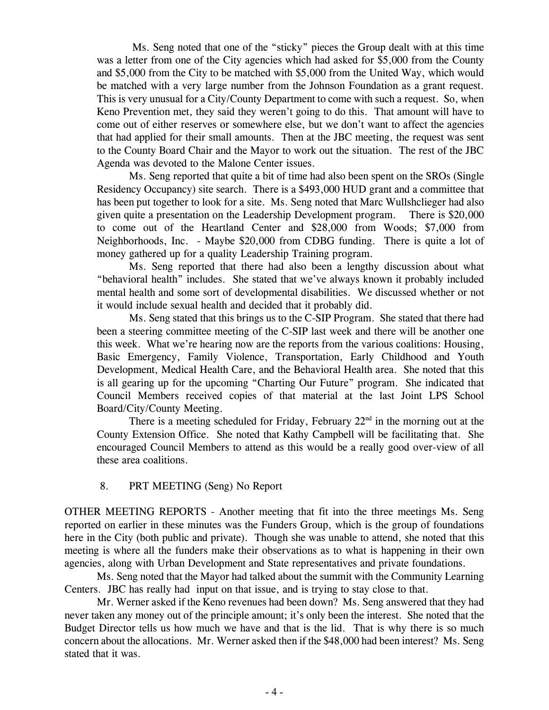Ms. Seng noted that one of the "sticky" pieces the Group dealt with at this time was a letter from one of the City agencies which had asked for \$5,000 from the County and \$5,000 from the City to be matched with \$5,000 from the United Way, which would be matched with a very large number from the Johnson Foundation as a grant request. This is very unusual for a City/County Department to come with such a request. So, when Keno Prevention met, they said they weren't going to do this. That amount will have to come out of either reserves or somewhere else, but we don't want to affect the agencies that had applied for their small amounts. Then at the JBC meeting, the request was sent to the County Board Chair and the Mayor to work out the situation. The rest of the JBC Agenda was devoted to the Malone Center issues.

Ms. Seng reported that quite a bit of time had also been spent on the SROs (Single Residency Occupancy) site search. There is a \$493,000 HUD grant and a committee that has been put together to look for a site. Ms. Seng noted that Marc Wullshclieger had also given quite a presentation on the Leadership Development program. There is \$20,000 to come out of the Heartland Center and \$28,000 from Woods; \$7,000 from Neighborhoods, Inc. - Maybe \$20,000 from CDBG funding. There is quite a lot of money gathered up for a quality Leadership Training program.

Ms. Seng reported that there had also been a lengthy discussion about what "behavioral health" includes. She stated that we've always known it probably included mental health and some sort of developmental disabilities. We discussed whether or not it would include sexual health and decided that it probably did.

Ms. Seng stated that this brings us to the C-SIP Program. She stated that there had been a steering committee meeting of the C-SIP last week and there will be another one this week. What we're hearing now are the reports from the various coalitions: Housing, Basic Emergency, Family Violence, Transportation, Early Childhood and Youth Development, Medical Health Care, and the Behavioral Health area. She noted that this is all gearing up for the upcoming "Charting Our Future" program. She indicated that Council Members received copies of that material at the last Joint LPS School Board/City/County Meeting.

There is a meeting scheduled for Friday, February  $22<sup>nd</sup>$  in the morning out at the County Extension Office. She noted that Kathy Campbell will be facilitating that. She encouraged Council Members to attend as this would be a really good over-view of all these area coalitions.

#### 8. PRT MEETING (Seng) No Report

OTHER MEETING REPORTS - Another meeting that fit into the three meetings Ms. Seng reported on earlier in these minutes was the Funders Group, which is the group of foundations here in the City (both public and private). Though she was unable to attend, she noted that this meeting is where all the funders make their observations as to what is happening in their own agencies, along with Urban Development and State representatives and private foundations.

Ms. Seng noted that the Mayor had talked about the summit with the Community Learning Centers. JBC has really had input on that issue, and is trying to stay close to that.

Mr. Werner asked if the Keno revenues had been down? Ms. Seng answered that they had never taken any money out of the principle amount; it's only been the interest. She noted that the Budget Director tells us how much we have and that is the lid. That is why there is so much concern about the allocations. Mr. Werner asked then if the \$48,000 had been interest? Ms. Seng stated that it was.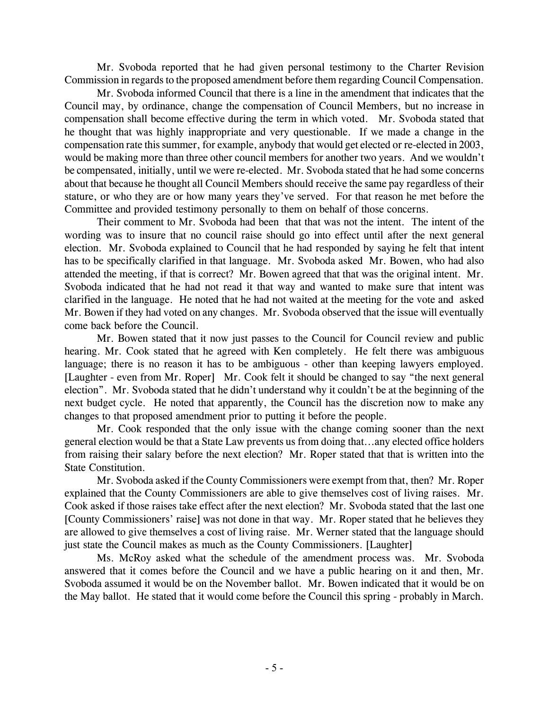Mr. Svoboda reported that he had given personal testimony to the Charter Revision Commission in regards to the proposed amendment before them regarding Council Compensation.

Mr. Svoboda informed Council that there is a line in the amendment that indicates that the Council may, by ordinance, change the compensation of Council Members, but no increase in compensation shall become effective during the term in which voted. Mr. Svoboda stated that he thought that was highly inappropriate and very questionable. If we made a change in the compensation rate this summer, for example, anybody that would get elected or re-elected in 2003, would be making more than three other council members for another two years. And we wouldn't be compensated, initially, until we were re-elected. Mr. Svoboda stated that he had some concerns about that because he thought all Council Members should receive the same pay regardless of their stature, or who they are or how many years they've served. For that reason he met before the Committee and provided testimony personally to them on behalf of those concerns.

Their comment to Mr. Svoboda had been that that was not the intent. The intent of the wording was to insure that no council raise should go into effect until after the next general election. Mr. Svoboda explained to Council that he had responded by saying he felt that intent has to be specifically clarified in that language. Mr. Svoboda asked Mr. Bowen, who had also attended the meeting, if that is correct? Mr. Bowen agreed that that was the original intent. Mr. Svoboda indicated that he had not read it that way and wanted to make sure that intent was clarified in the language. He noted that he had not waited at the meeting for the vote and asked Mr. Bowen if they had voted on any changes. Mr. Svoboda observed that the issue will eventually come back before the Council.

Mr. Bowen stated that it now just passes to the Council for Council review and public hearing. Mr. Cook stated that he agreed with Ken completely. He felt there was ambiguous language; there is no reason it has to be ambiguous - other than keeping lawyers employed. [Laughter - even from Mr. Roper] Mr. Cook felt it should be changed to say "the next general election". Mr. Svoboda stated that he didn't understand why it couldn't be at the beginning of the next budget cycle. He noted that apparently, the Council has the discretion now to make any changes to that proposed amendment prior to putting it before the people.

Mr. Cook responded that the only issue with the change coming sooner than the next general election would be that a State Law prevents us from doing that...any elected office holders from raising their salary before the next election? Mr. Roper stated that that is written into the State Constitution.

Mr. Svoboda asked if the County Commissioners were exempt from that, then? Mr. Roper explained that the County Commissioners are able to give themselves cost of living raises. Mr. Cook asked if those raises take effect after the next election? Mr. Svoboda stated that the last one [County Commissioners' raise] was not done in that way. Mr. Roper stated that he believes they are allowed to give themselves a cost of living raise. Mr. Werner stated that the language should just state the Council makes as much as the County Commissioners. [Laughter]

Ms. McRoy asked what the schedule of the amendment process was. Mr. Svoboda answered that it comes before the Council and we have a public hearing on it and then, Mr. Svoboda assumed it would be on the November ballot. Mr. Bowen indicated that it would be on the May ballot. He stated that it would come before the Council this spring - probably in March.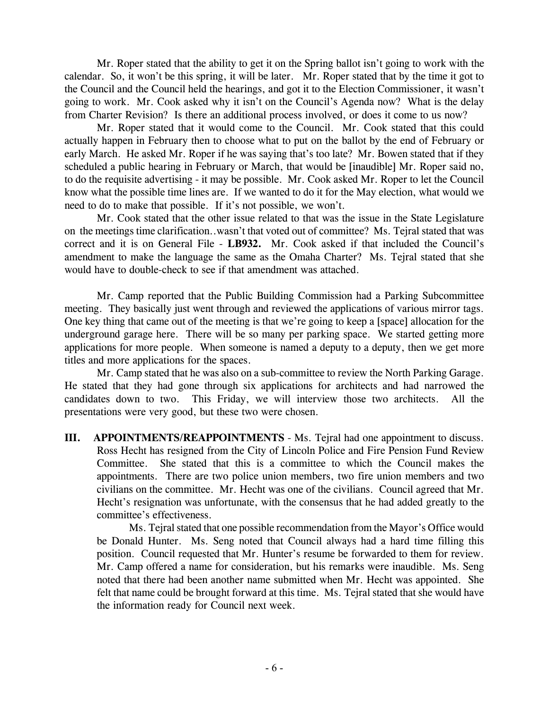Mr. Roper stated that the ability to get it on the Spring ballot isn't going to work with the calendar. So, it won't be this spring, it will be later. Mr. Roper stated that by the time it got to the Council and the Council held the hearings, and got it to the Election Commissioner, it wasn't going to work. Mr. Cook asked why it isn't on the Council's Agenda now? What is the delay from Charter Revision? Is there an additional process involved, or does it come to us now?

Mr. Roper stated that it would come to the Council. Mr. Cook stated that this could actually happen in February then to choose what to put on the ballot by the end of February or early March. He asked Mr. Roper if he was saying that's too late? Mr. Bowen stated that if they scheduled a public hearing in February or March, that would be [inaudible] Mr. Roper said no, to do the requisite advertising - it may be possible. Mr. Cook asked Mr. Roper to let the Council know what the possible time lines are. If we wanted to do it for the May election, what would we need to do to make that possible. If it's not possible, we won't.

Mr. Cook stated that the other issue related to that was the issue in the State Legislature on the meetings time clarification..wasn't that voted out of committee? Ms. Tejral stated that was correct and it is on General File - **LB932.** Mr. Cook asked if that included the Council's amendment to make the language the same as the Omaha Charter? Ms. Tejral stated that she would have to double-check to see if that amendment was attached.

Mr. Camp reported that the Public Building Commission had a Parking Subcommittee meeting. They basically just went through and reviewed the applications of various mirror tags. One key thing that came out of the meeting is that we're going to keep a [space] allocation for the underground garage here. There will be so many per parking space. We started getting more applications for more people. When someone is named a deputy to a deputy, then we get more titles and more applications for the spaces.

Mr. Camp stated that he was also on a sub-committee to review the North Parking Garage. He stated that they had gone through six applications for architects and had narrowed the candidates down to two. This Friday, we will interview those two architects. All the presentations were very good, but these two were chosen.

**III. APPOINTMENTS/REAPPOINTMENTS** - Ms. Tejral had one appointment to discuss. Ross Hecht has resigned from the City of Lincoln Police and Fire Pension Fund Review Committee. She stated that this is a committee to which the Council makes the appointments. There are two police union members, two fire union members and two civilians on the committee. Mr. Hecht was one of the civilians. Council agreed that Mr. Hecht's resignation was unfortunate, with the consensus that he had added greatly to the committee's effectiveness.

Ms. Tejral stated that one possible recommendation from the Mayor's Office would be Donald Hunter. Ms. Seng noted that Council always had a hard time filling this position. Council requested that Mr. Hunter's resume be forwarded to them for review. Mr. Camp offered a name for consideration, but his remarks were inaudible. Ms. Seng noted that there had been another name submitted when Mr. Hecht was appointed. She felt that name could be brought forward at this time. Ms. Tejral stated that she would have the information ready for Council next week.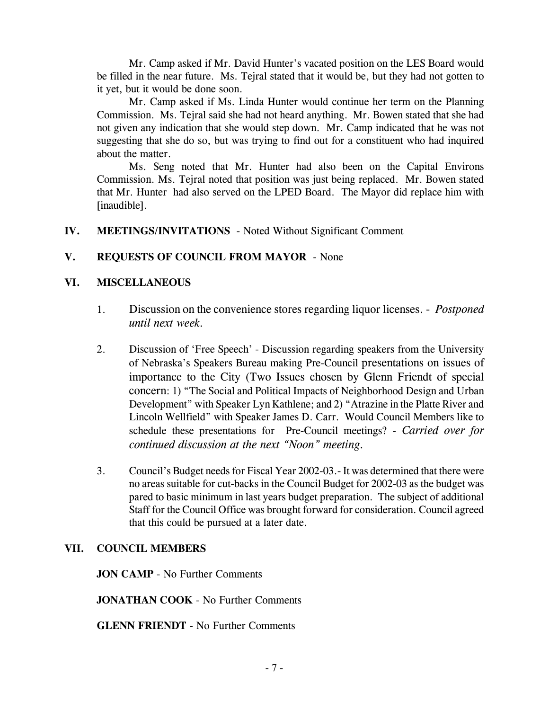Mr. Camp asked if Mr. David Hunter's vacated position on the LES Board would be filled in the near future. Ms. Tejral stated that it would be, but they had not gotten to it yet, but it would be done soon.

Mr. Camp asked if Ms. Linda Hunter would continue her term on the Planning Commission. Ms. Tejral said she had not heard anything. Mr. Bowen stated that she had not given any indication that she would step down. Mr. Camp indicated that he was not suggesting that she do so, but was trying to find out for a constituent who had inquired about the matter.

Ms. Seng noted that Mr. Hunter had also been on the Capital Environs Commission. Ms. Tejral noted that position was just being replaced. Mr. Bowen stated that Mr. Hunter had also served on the LPED Board. The Mayor did replace him with [inaudible].

## **IV. MEETINGS/INVITATIONS** - Noted Without Significant Comment

## **V. REQUESTS OF COUNCIL FROM MAYOR** - None

#### **VI. MISCELLANEOUS**

- 1. Discussion on the convenience stores regarding liquor licenses. *Postponed until next week.*
- 2. Discussion of 'Free Speech' Discussion regarding speakers from the University of Nebraska's Speakers Bureau making Pre-Council presentations on issues of importance to the City (Two Issues chosen by Glenn Friendt of special concern: 1) "The Social and Political Impacts of Neighborhood Design and Urban Development" with Speaker Lyn Kathlene; and 2) "Atrazine in the Platte River and Lincoln Wellfield" with Speaker James D. Carr. Would Council Members like to schedule these presentations for Pre-Council meetings? - *Carried over for continued discussion at the next "Noon" meeting.*
- 3. Council's Budget needs for Fiscal Year 2002-03.- It was determined that there were no areas suitable for cut-backs in the Council Budget for 2002-03 as the budget was pared to basic minimum in last years budget preparation. The subject of additional Staff for the Council Office was brought forward for consideration. Council agreed that this could be pursued at a later date.

#### **VII. COUNCIL MEMBERS**

**JON CAMP** - No Further Comments

**JONATHAN COOK** - No Further Comments

**GLENN FRIENDT** - No Further Comments